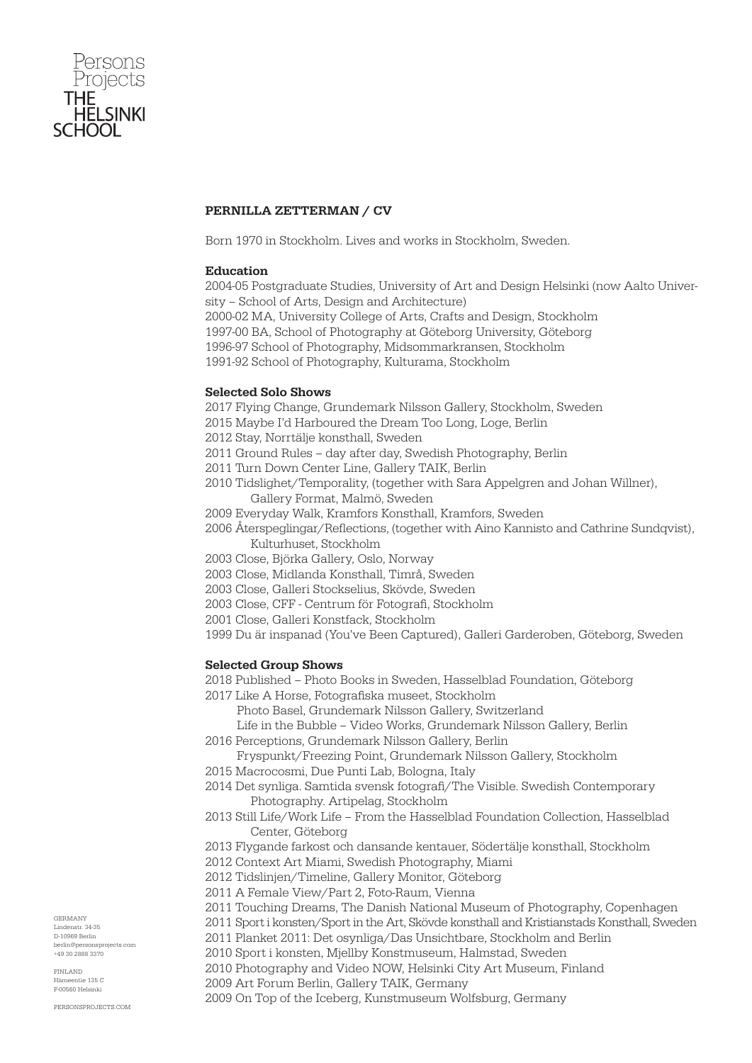

# PERNILLA ZETTERMAN / CV

Born 1970 in Stockholm. Lives and works in Stockholm, Sweden.

## Education

2004-05 Postgraduate Studies, University of Art and Design Helsinki (now Aalto University – School of Arts, Design and Architecture) 2000-02 MA, University College of Arts, Crafts and Design, Stockholm 1997-00 BA, School of Photography at Göteborg University, Göteborg

1996-97 School of Photography, Midsommarkransen, Stockholm

1991-92 School of Photography, Kulturama, Stockholm

### Selected Solo Shows

2017 Flying Change, Grundemark Nilsson Gallery, Stockholm, Sweden

2015 Maybe I'd Harboured the Dream Too Long, Loge, Berlin

- 2012 Stay, Norrtälje konsthall, Sweden
- 2011 Ground Rules day after day, Swedish Photography, Berlin
- 2011 Turn Down Center Line, Gallery TAIK, Berlin
- 2010 Tidslighet/Temporality, (together with Sara Appelgren and Johan Willner), Gallery Format, Malmö, Sweden
- 2009 Everyday Walk, Kramfors Konsthall, Kramfors, Sweden
- 2006 Återspeglingar/Reflections, (together with Aino Kannisto and Cathrine Sundqvist), Kulturhuset, Stockholm
- 2003 Close, Björka Gallery, Oslo, Norway
- 2003 Close, Midlanda Konsthall, Timrå, Sweden
- 2003 Close, Galleri Stockselius, Skövde, Sweden
- 2003 Close, CFF Centrum för Fotografi, Stockholm
- 2001 Close, Galleri Konstfack, Stockholm
- 1999 Du är inspanad (You've Been Captured), Galleri Garderoben, Göteborg, Sweden

## Selected Group Shows

- 2018 Published Photo Books in Sweden, Hasselblad Foundation, Göteborg
- 2017 Like A Horse, Fotografiska museet, Stockholm
	- Photo Basel, Grundemark Nilsson Gallery, Switzerland
- Life in the Bubble Video Works, Grundemark Nilsson Gallery, Berlin 2016 Perceptions, Grundemark Nilsson Gallery, Berlin
- Fryspunkt/Freezing Point, Grundemark Nilsson Gallery, Stockholm
- 2015 Macrocosmi, Due Punti Lab, Bologna, Italy
- 2014 Det synliga. Samtida svensk fotografi/The Visible. Swedish Contemporary Photography. Artipelag, Stockholm
- 2013 Still Life/Work Life From the Hasselblad Foundation Collection, Hasselblad Center, Göteborg
- 2013 Flygande farkost och dansande kentauer, Södertälje konsthall, Stockholm
- 2012 Context Art Miami, Swedish Photography, Miami
- 2012 Tidslinjen/Timeline, Gallery Monitor, Göteborg
- 2011 A Female View/Part 2, Foto-Raum, Vienna
- 2011 Touching Dreams, The Danish National Museum of Photography, Copenhagen
- 2011 Sport i konsten/Sport in the Art, Skövde konsthall and Kristianstads Konsthall, Sweden
	- 2011 Planket 2011: Det osynliga/Das Unsichtbare, Stockholm and Berlin
	- 2010 Sport i konsten, Mjellby Konstmuseum, Halmstad, Sweden
- 2010 Photography and Video NOW, Helsinki City Art Museum, Finland
- 2009 Art Forum Berlin, Gallery TAIK, Germany
- 2009 On Top of the Iceberg, Kunstmuseum Wolfsburg, Germany

GERMANY Lindenstr. 34-35 D-10969 Berlin berlin@personsprojects.com +49 30 2888 3370

FINLAND  $m<sub>th</sub>$  125  $C$ F-00560 Helsinki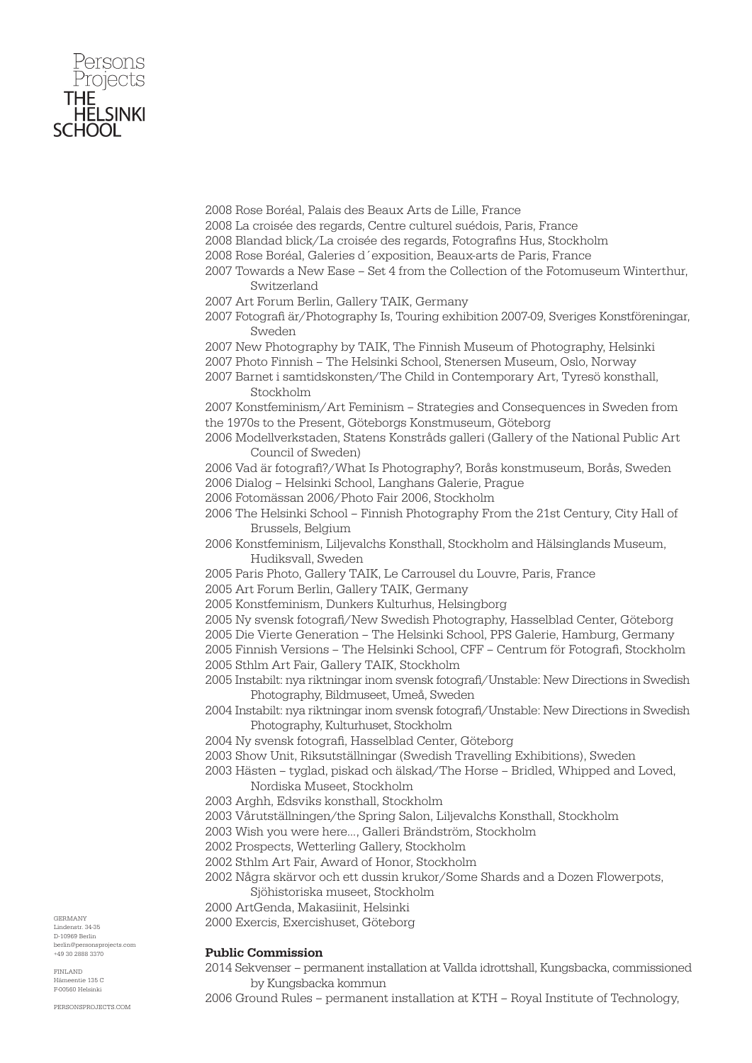

2008 Rose Boréal, Palais des Beaux Arts de Lille, France

2008 La croisée des regards, Centre culturel suédois, Paris, France

2008 Blandad blick/La croisée des regards, Fotografins Hus, Stockholm

2008 Rose Boréal, Galeries d´exposition, Beaux-arts de Paris, France

2007 Towards a New Ease – Set 4 from the Collection of the Fotomuseum Winterthur, Switzerland

2007 Art Forum Berlin, Gallery TAIK, Germany

2007 Fotografi är/Photography Is, Touring exhibition 2007-09, Sveriges Konstföreningar, Sweden

2007 New Photography by TAIK, The Finnish Museum of Photography, Helsinki

2007 Photo Finnish – The Helsinki School, Stenersen Museum, Oslo, Norway

2007 Barnet i samtidskonsten/The Child in Contemporary Art, Tyresö konsthall, Stockholm

2007 Konstfeminism/Art Feminism – Strategies and Consequences in Sweden from the 1970s to the Present, Göteborgs Konstmuseum, Göteborg

2006 Modellverkstaden, Statens Konstråds galleri (Gallery of the National Public Art Council of Sweden)

2006 Vad är fotografi?/What Is Photography?, Borås konstmuseum, Borås, Sweden 2006 Dialog – Helsinki School, Langhans Galerie, Prague

2006 Fotomässan 2006/Photo Fair 2006, Stockholm

2006 The Helsinki School – Finnish Photography From the 21st Century, City Hall of Brussels, Belgium

2006 Konstfeminism, Liljevalchs Konsthall, Stockholm and Hälsinglands Museum, Hudiksvall, Sweden

2005 Paris Photo, Gallery TAIK, Le Carrousel du Louvre, Paris, France

2005 Art Forum Berlin, Gallery TAIK, Germany

2005 Konstfeminism, Dunkers Kulturhus, Helsingborg

2005 Ny svensk fotografi/New Swedish Photography, Hasselblad Center, Göteborg

2005 Die Vierte Generation – The Helsinki School, PPS Galerie, Hamburg, Germany

2005 Finnish Versions – The Helsinki School, CFF – Centrum för Fotografi, Stockholm 2005 Sthlm Art Fair, Gallery TAIK, Stockholm

2005 Instabilt: nya riktningar inom svensk fotografi/Unstable: New Directions in Swedish Photography, Bildmuseet, Umeå, Sweden

2004 Instabilt: nya riktningar inom svensk fotografi/Unstable: New Directions in Swedish Photography, Kulturhuset, Stockholm

2004 Ny svensk fotografi, Hasselblad Center, Göteborg

2003 Show Unit, Riksutställningar (Swedish Travelling Exhibitions), Sweden

2003 Hästen – tyglad, piskad och älskad/The Horse – Bridled, Whipped and Loved, Nordiska Museet, Stockholm

- 2003 Arghh, Edsviks konsthall, Stockholm
- 2003 Vårutställningen/the Spring Salon, Liljevalchs Konsthall, Stockholm
- 2003 Wish you were here…, Galleri Brändström, Stockholm
- 2002 Prospects, Wetterling Gallery, Stockholm
- 2002 Sthlm Art Fair, Award of Honor, Stockholm
- 2002 Några skärvor och ett dussin krukor/Some Shards and a Dozen Flowerpots,
- Sjöhistoriska museet, Stockholm
- 2000 ArtGenda, Makasiinit, Helsinki

2000 Exercis, Exercishuset, Göteborg

#### Public Commission

2014 Sekvenser – permanent installation at Vallda idrottshall, Kungsbacka, commissioned by Kungsbacka kommun

2006 Ground Rules – permanent installation at KTH – Royal Institute of Technology,

GERMANY Lindenstr. 34-35 D-10969 Berlin berlin@personsprojects.com +49 30 2888 3370

FINLAND  $m<sub>th</sub>$  125  $C$ F-00560 Helsinki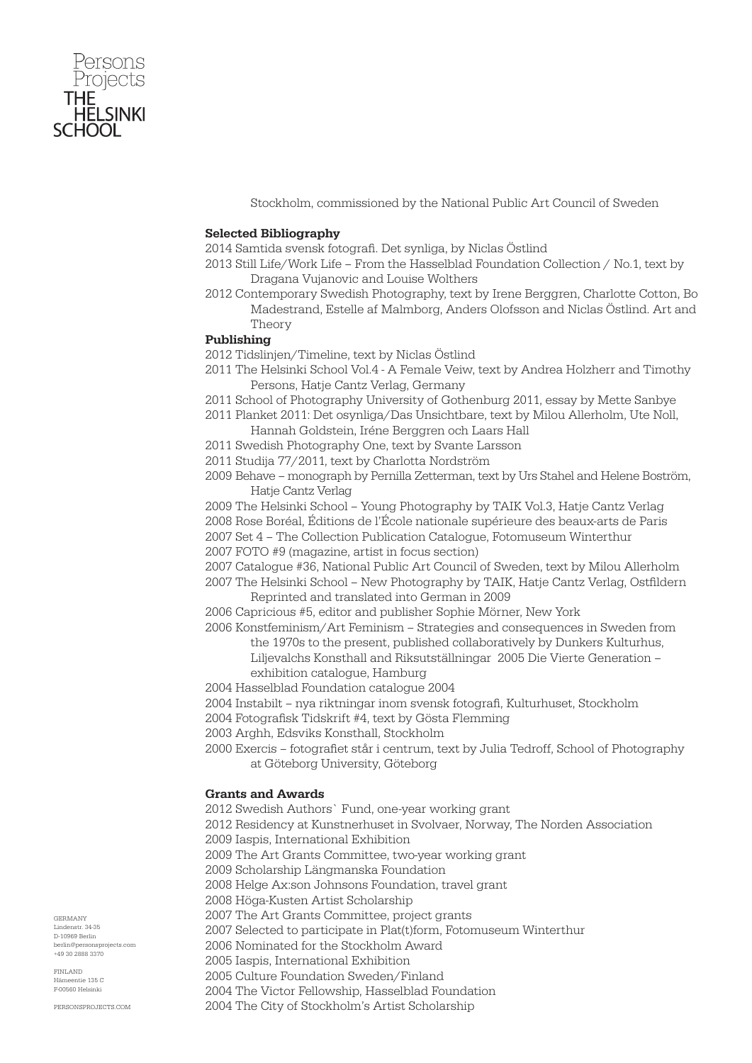

Stockholm, commissioned by the National Public Art Council of Sweden

## Selected Bibliography

2014 Samtida svensk fotografi. Det synliga, by Niclas Östlind

- 2013 Still Life/Work Life From the Hasselblad Foundation Collection / No.1, text by Dragana Vujanovic and Louise Wolthers
- 2012 Contemporary Swedish Photography, text by Irene Berggren, Charlotte Cotton, Bo Madestrand, Estelle af Malmborg, Anders Olofsson and Niclas Östlind. Art and Theory

### Publishing

- 2012 Tidslinjen/Timeline, text by Niclas Östlind
- 2011 The Helsinki School Vol.4 A Female Veiw, text by Andrea Holzherr and Timothy Persons, Hatje Cantz Verlag, Germany
- 2011 School of Photography University of Gothenburg 2011, essay by Mette Sanbye
- 2011 Planket 2011: Det osynliga/Das Unsichtbare, text by Milou Allerholm, Ute Noll, Hannah Goldstein, Iréne Berggren och Laars Hall
- 2011 Swedish Photography One, text by Svante Larsson
- 2011 Studija 77/2011, text by Charlotta Nordström
- 2009 Behave monograph by Pernilla Zetterman, text by Urs Stahel and Helene Boström, Hatje Cantz Verlag
- 2009 The Helsinki School Young Photography by TAIK Vol.3, Hatje Cantz Verlag

2008 Rose Boréal, Éditions de l'École nationale supérieure des beaux-arts de Paris

- 2007 Set 4 The Collection Publication Catalogue, Fotomuseum Winterthur
- 2007 FOTO #9 (magazine, artist in focus section)
- 2007 Catalogue #36, National Public Art Council of Sweden, text by Milou Allerholm
- 2007 The Helsinki School New Photography by TAIK, Hatje Cantz Verlag, Ostfildern Reprinted and translated into German in 2009
- 2006 Capricious #5, editor and publisher Sophie Mörner, New York
- 2006 Konstfeminism/Art Feminism Strategies and consequences in Sweden from the 1970s to the present, published collaboratively by Dunkers Kulturhus,
	- Liljevalchs Konsthall and Riksutställningar 2005 Die Vierte Generation –
	- exhibition catalogue, Hamburg
- 2004 Hasselblad Foundation catalogue 2004
- 2004 Instabilt nya riktningar inom svensk fotografi, Kulturhuset, Stockholm
- 2004 Fotografisk Tidskrift #4, text by Gösta Flemming
- 2003 Arghh, Edsviks Konsthall, Stockholm
- 2000 Exercis fotografiet står i centrum, text by Julia Tedroff, School of Photography at Göteborg University, Göteborg

## Grants and Awards

2012 Swedish Authors` Fund, one-year working grant 2012 Residency at Kunstnerhuset in Svolvaer, Norway, The Norden Association 2009 Iaspis, International Exhibition 2009 The Art Grants Committee, two-year working grant 2009 Scholarship Längmanska Foundation 2008 Helge Ax:son Johnsons Foundation, travel grant 2008 Höga-Kusten Artist Scholarship 2007 The Art Grants Committee, project grants 2007 Selected to participate in Plat(t)form, Fotomuseum Winterthur 2006 Nominated for the Stockholm Award 2005 Iaspis, International Exhibition 2005 Culture Foundation Sweden/Finland

2004 The Victor Fellowship, Hasselblad Foundation

2004 The City of Stockholm's Artist Scholarship

GERMANY Lindenstr. 34-35 D-10969 Berlin berlin@personsprojects.com +49 30 2888 3370

FINLAND  $m<sub>th</sub>$  125  $C$ F-00560 Helsinki

PERSONSPROJECTS.COM